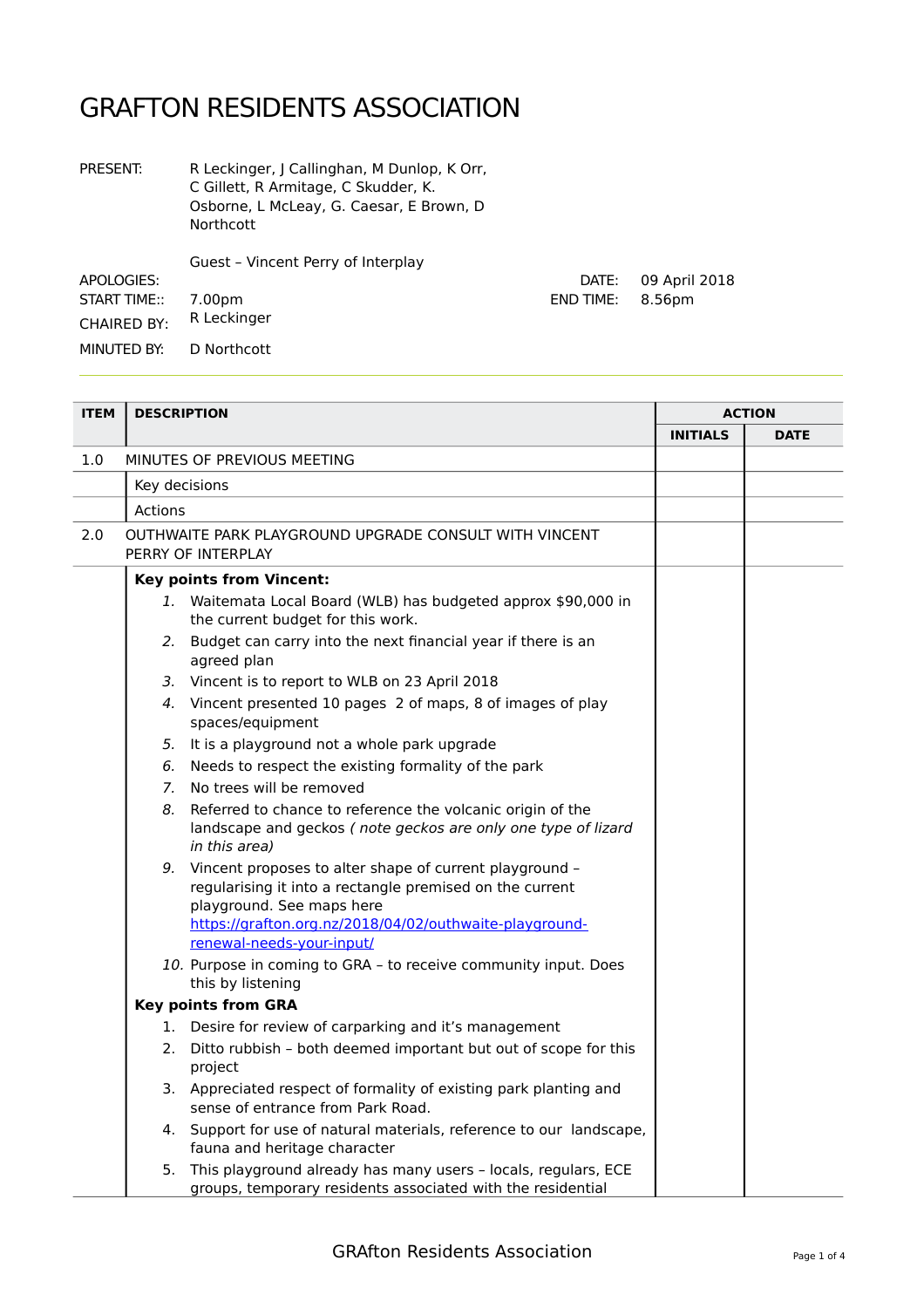## GRAFTON RESIDENTS ASSOCIATION

| <b>PRESENT:</b>     | R Leckinger, J Callinghan, M Dunlop, K Orr,<br>C Gillett, R Armitage, C Skudder, K.<br>Osborne, L McLeay, G. Caesar, E Brown, D.<br><b>Northcott</b> |                  |               |
|---------------------|------------------------------------------------------------------------------------------------------------------------------------------------------|------------------|---------------|
|                     | Guest - Vincent Perry of Interplay                                                                                                                   |                  |               |
| APOLOGIES:          |                                                                                                                                                      | DATE:            | 09 April 2018 |
| <b>START TIME::</b> | 7.00pm                                                                                                                                               | <b>END TIME:</b> | 8.56pm        |
| <b>CHAIRED BY:</b>  | R Leckinger                                                                                                                                          |                  |               |
| MINUTED BY:         | D Northcott                                                                                                                                          |                  |               |
|                     |                                                                                                                                                      |                  |               |

| <b>ITEM</b> | <b>DESCRIPTION</b>                                                                                                                                                                                                                          |                 | <b>ACTION</b> |  |
|-------------|---------------------------------------------------------------------------------------------------------------------------------------------------------------------------------------------------------------------------------------------|-----------------|---------------|--|
|             |                                                                                                                                                                                                                                             | <b>INITIALS</b> | <b>DATE</b>   |  |
| 1.0         | MINUTES OF PREVIOUS MEETING                                                                                                                                                                                                                 |                 |               |  |
|             | Key decisions                                                                                                                                                                                                                               |                 |               |  |
|             | <b>Actions</b>                                                                                                                                                                                                                              |                 |               |  |
| 2.0         | OUTHWAITE PARK PLAYGROUND UPGRADE CONSULT WITH VINCENT<br>PERRY OF INTERPLAY                                                                                                                                                                |                 |               |  |
|             | <b>Key points from Vincent:</b>                                                                                                                                                                                                             |                 |               |  |
|             | 1. Waitemata Local Board (WLB) has budgeted approx \$90,000 in<br>the current budget for this work.                                                                                                                                         |                 |               |  |
|             | 2. Budget can carry into the next financial year if there is an<br>agreed plan                                                                                                                                                              |                 |               |  |
|             | 3. Vincent is to report to WLB on 23 April 2018                                                                                                                                                                                             |                 |               |  |
|             | 4. Vincent presented 10 pages 2 of maps, 8 of images of play<br>spaces/equipment                                                                                                                                                            |                 |               |  |
|             | 5. It is a playground not a whole park upgrade                                                                                                                                                                                              |                 |               |  |
|             | Needs to respect the existing formality of the park<br>6.                                                                                                                                                                                   |                 |               |  |
|             | No trees will be removed<br>7.                                                                                                                                                                                                              |                 |               |  |
|             | Referred to chance to reference the volcanic origin of the<br>8.<br>landscape and geckos (note geckos are only one type of lizard<br>in this area)                                                                                          |                 |               |  |
|             | 9. Vincent proposes to alter shape of current playground -<br>regularising it into a rectangle premised on the current<br>playground. See maps here<br>https://grafton.org.nz/2018/04/02/outhwaite-playground-<br>renewal-needs-your-input/ |                 |               |  |
|             | 10. Purpose in coming to GRA - to receive community input. Does                                                                                                                                                                             |                 |               |  |
|             | this by listening                                                                                                                                                                                                                           |                 |               |  |
|             | <b>Key points from GRA</b>                                                                                                                                                                                                                  |                 |               |  |
|             | 1. Desire for review of carparking and it's management                                                                                                                                                                                      |                 |               |  |
|             | 2. Ditto rubbish - both deemed important but out of scope for this<br>project                                                                                                                                                               |                 |               |  |
|             | 3. Appreciated respect of formality of existing park planting and<br>sense of entrance from Park Road.                                                                                                                                      |                 |               |  |
|             | 4. Support for use of natural materials, reference to our landscape,<br>fauna and heritage character                                                                                                                                        |                 |               |  |
|             | 5. This playground already has many users - locals, regulars, ECE<br>groups, temporary residents associated with the residential                                                                                                            |                 |               |  |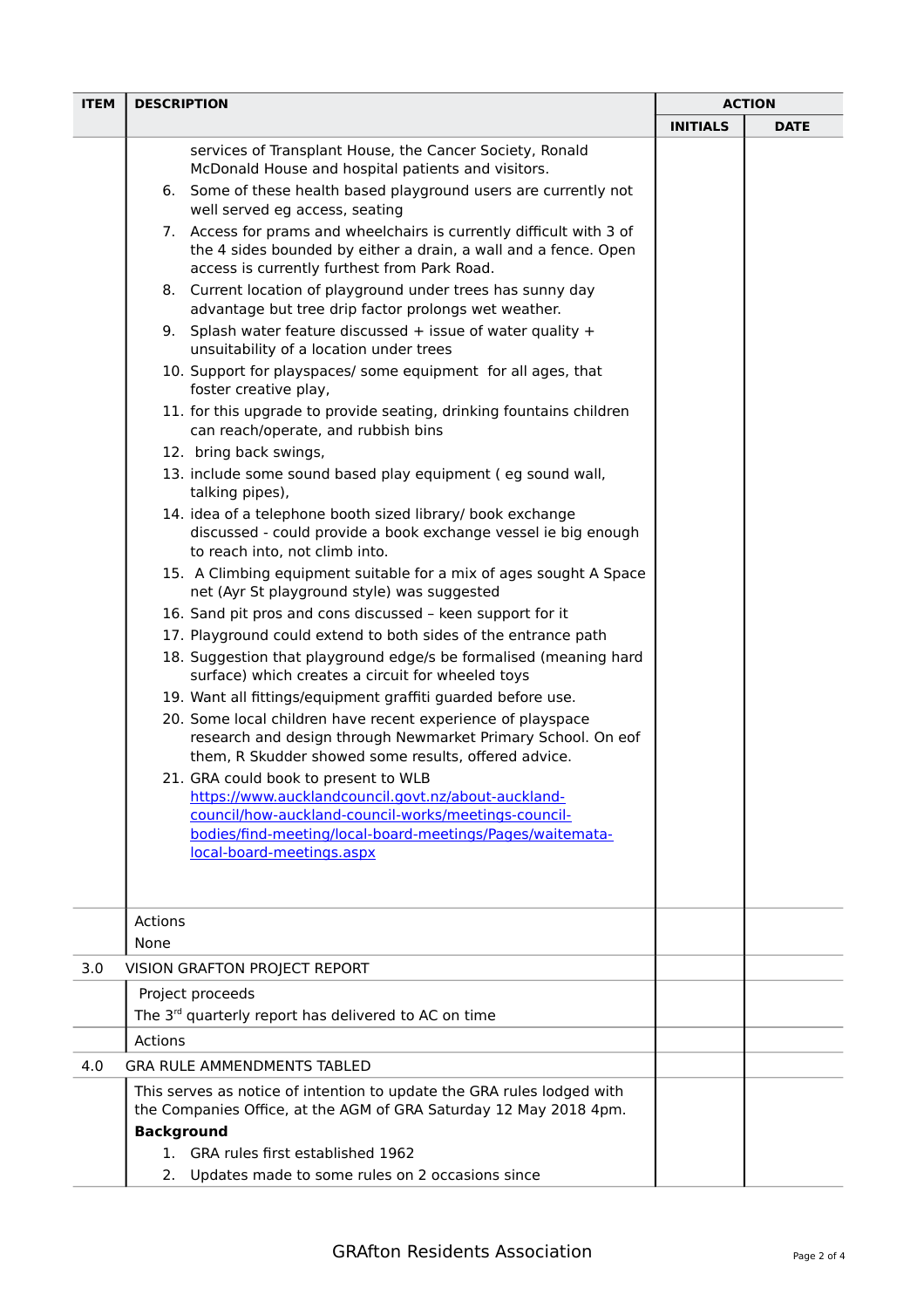| <b>ITEM</b> | <b>DESCRIPTION</b> |                                                                                                                                                                                         | <b>ACTION</b>   |             |
|-------------|--------------------|-----------------------------------------------------------------------------------------------------------------------------------------------------------------------------------------|-----------------|-------------|
|             |                    |                                                                                                                                                                                         | <b>INITIALS</b> | <b>DATE</b> |
|             |                    | services of Transplant House, the Cancer Society, Ronald<br>McDonald House and hospital patients and visitors.                                                                          |                 |             |
|             |                    | 6. Some of these health based playground users are currently not<br>well served eg access, seating                                                                                      |                 |             |
|             |                    | 7. Access for prams and wheelchairs is currently difficult with 3 of<br>the 4 sides bounded by either a drain, a wall and a fence. Open<br>access is currently furthest from Park Road. |                 |             |
|             |                    | 8. Current location of playground under trees has sunny day<br>advantage but tree drip factor prolongs wet weather.                                                                     |                 |             |
|             |                    | 9. Splash water feature discussed $+$ issue of water quality $+$<br>unsuitability of a location under trees                                                                             |                 |             |
|             |                    | 10. Support for playspaces/ some equipment for all ages, that<br>foster creative play,                                                                                                  |                 |             |
|             |                    | 11. for this upgrade to provide seating, drinking fountains children<br>can reach/operate, and rubbish bins                                                                             |                 |             |
|             |                    | 12. bring back swings,                                                                                                                                                                  |                 |             |
|             |                    | 13. include some sound based play equipment (eg sound wall,<br>talking pipes),                                                                                                          |                 |             |
|             |                    | 14. idea of a telephone booth sized library/ book exchange<br>discussed - could provide a book exchange vessel ie big enough<br>to reach into, not climb into.                          |                 |             |
|             |                    | 15. A Climbing equipment suitable for a mix of ages sought A Space<br>net (Ayr St playground style) was suggested                                                                       |                 |             |
|             |                    | 16. Sand pit pros and cons discussed - keen support for it                                                                                                                              |                 |             |
|             |                    | 17. Playground could extend to both sides of the entrance path                                                                                                                          |                 |             |
|             |                    | 18. Suggestion that playground edge/s be formalised (meaning hard<br>surface) which creates a circuit for wheeled toys                                                                  |                 |             |
|             |                    | 19. Want all fittings/equipment graffiti guarded before use.                                                                                                                            |                 |             |
|             |                    | 20. Some local children have recent experience of playspace<br>research and design through Newmarket Primary School. On eof<br>them, R Skudder showed some results, offered advice.     |                 |             |
|             |                    | 21. GRA could book to present to WLB                                                                                                                                                    |                 |             |
|             |                    | https://www.aucklandcouncil.govt.nz/about-auckland-                                                                                                                                     |                 |             |
|             |                    | council/how-auckland-council-works/meetings-council-<br>bodies/find-meeting/local-board-meetings/Pages/waitemata-                                                                       |                 |             |
|             |                    | local-board-meetings.aspx                                                                                                                                                               |                 |             |
|             |                    |                                                                                                                                                                                         |                 |             |
|             | Actions            |                                                                                                                                                                                         |                 |             |
|             | None               |                                                                                                                                                                                         |                 |             |
| 3.0         |                    | VISION GRAFTON PROJECT REPORT                                                                                                                                                           |                 |             |
|             |                    | Project proceeds                                                                                                                                                                        |                 |             |
|             |                    | The 3 <sup>rd</sup> quarterly report has delivered to AC on time                                                                                                                        |                 |             |
|             | Actions            |                                                                                                                                                                                         |                 |             |
| 4.0         |                    | <b>GRA RULE AMMENDMENTS TABLED</b>                                                                                                                                                      |                 |             |
|             |                    | This serves as notice of intention to update the GRA rules lodged with                                                                                                                  |                 |             |
|             |                    | the Companies Office, at the AGM of GRA Saturday 12 May 2018 4pm.                                                                                                                       |                 |             |
|             | <b>Background</b>  |                                                                                                                                                                                         |                 |             |
|             |                    | 1. GRA rules first established 1962                                                                                                                                                     |                 |             |
|             | 2.                 | Updates made to some rules on 2 occasions since                                                                                                                                         |                 |             |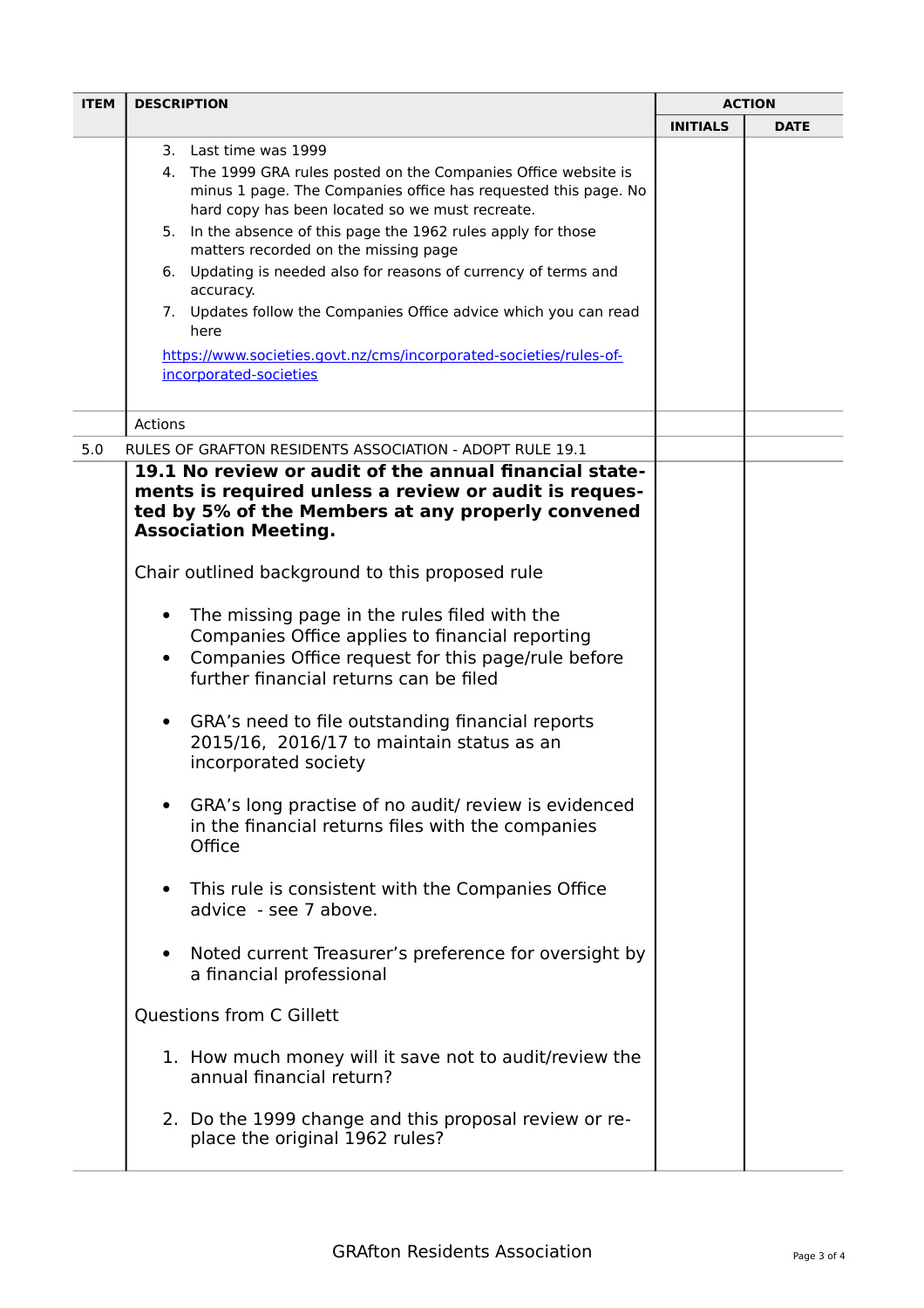| <b>ITEM</b> | <b>DESCRIPTION</b>                                                                                                                                                                                                                                                                                                                                                                                                                                                                                                                                                                                                |                 | <b>ACTION</b> |  |
|-------------|-------------------------------------------------------------------------------------------------------------------------------------------------------------------------------------------------------------------------------------------------------------------------------------------------------------------------------------------------------------------------------------------------------------------------------------------------------------------------------------------------------------------------------------------------------------------------------------------------------------------|-----------------|---------------|--|
|             |                                                                                                                                                                                                                                                                                                                                                                                                                                                                                                                                                                                                                   | <b>INITIALS</b> | <b>DATE</b>   |  |
|             | 3. Last time was 1999<br>4. The 1999 GRA rules posted on the Companies Office website is<br>minus 1 page. The Companies office has requested this page. No<br>hard copy has been located so we must recreate.<br>5. In the absence of this page the 1962 rules apply for those<br>matters recorded on the missing page<br>6. Updating is needed also for reasons of currency of terms and<br>accuracy.<br>7. Updates follow the Companies Office advice which you can read<br>here<br>https://www.societies.govt.nz/cms/incorporated-societies/rules-of-<br>incorporated-societies                                |                 |               |  |
|             | Actions                                                                                                                                                                                                                                                                                                                                                                                                                                                                                                                                                                                                           |                 |               |  |
| 5.0         | RULES OF GRAFTON RESIDENTS ASSOCIATION - ADOPT RULE 19.1                                                                                                                                                                                                                                                                                                                                                                                                                                                                                                                                                          |                 |               |  |
|             | 19.1 No review or audit of the annual financial state-<br>ments is required unless a review or audit is reques-<br>ted by 5% of the Members at any properly convened<br><b>Association Meeting.</b><br>Chair outlined background to this proposed rule<br>The missing page in the rules filed with the<br>٠<br>Companies Office applies to financial reporting<br>Companies Office request for this page/rule before<br>$\bullet$<br>further financial returns can be filed<br>GRA's need to file outstanding financial reports<br>$\bullet$<br>2015/16, 2016/17 to maintain status as an<br>incorporated society |                 |               |  |
|             | GRA's long practise of no audit/ review is evidenced<br>in the financial returns files with the companies<br>Office                                                                                                                                                                                                                                                                                                                                                                                                                                                                                               |                 |               |  |
|             | This rule is consistent with the Companies Office<br>advice - see 7 above.                                                                                                                                                                                                                                                                                                                                                                                                                                                                                                                                        |                 |               |  |
|             | Noted current Treasurer's preference for oversight by<br>$\bullet$<br>a financial professional                                                                                                                                                                                                                                                                                                                                                                                                                                                                                                                    |                 |               |  |
|             | <b>Questions from C Gillett</b>                                                                                                                                                                                                                                                                                                                                                                                                                                                                                                                                                                                   |                 |               |  |
|             | 1. How much money will it save not to audit/review the<br>annual financial return?                                                                                                                                                                                                                                                                                                                                                                                                                                                                                                                                |                 |               |  |
|             | 2. Do the 1999 change and this proposal review or re-<br>place the original 1962 rules?                                                                                                                                                                                                                                                                                                                                                                                                                                                                                                                           |                 |               |  |